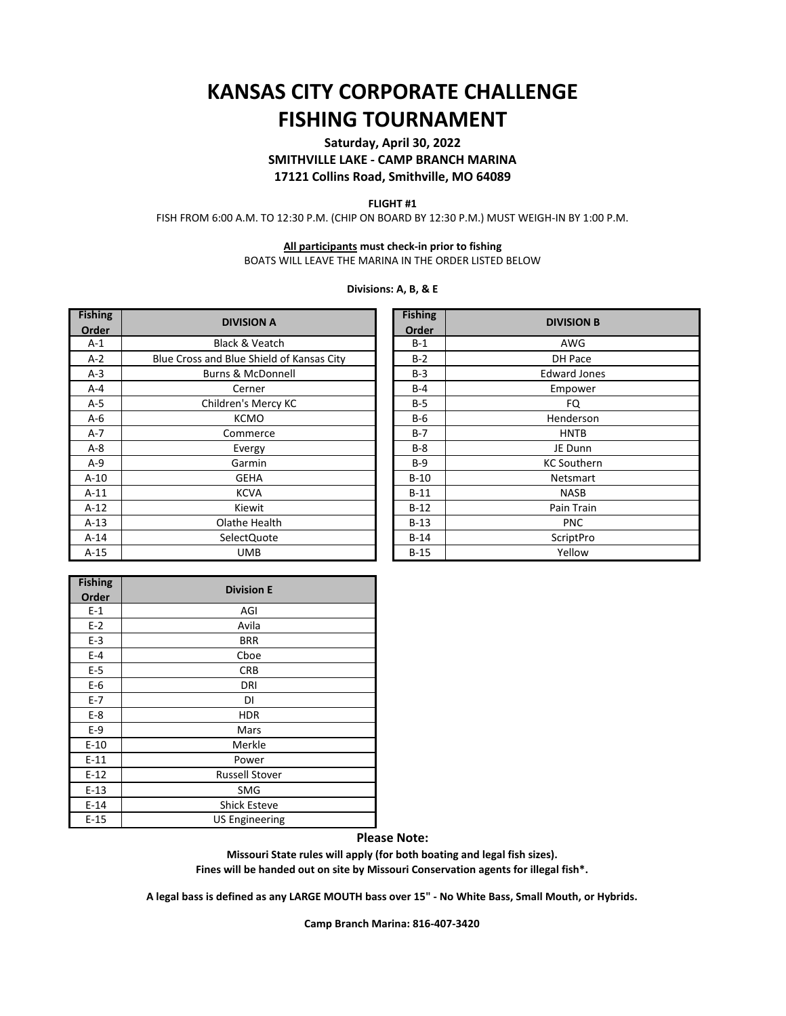# **FISHING TOURNAMENT KANSAS CITY CORPORATE CHALLENGE**

## **Saturday, April 30, 2022 SMITHVILLE LAKE - CAMP BRANCH MARINA 17121 Collins Road, Smithville, MO 64089**

#### **FLIGHT #1**

FISH FROM 6:00 A.M. TO 12:30 P.M. (CHIP ON BOARD BY 12:30 P.M.) MUST WEIGH-IN BY 1:00 P.M.

### **All participants must check-in prior to fishing**

BOATS WILL LEAVE THE MARINA IN THE ORDER LISTED BELOW

#### **Divisions: A, B, & E**

| <b>Fishing</b> | <b>DIVISION A</b>                         |  | <b>Fishing</b> | <b>DIVISION B</b>   |
|----------------|-------------------------------------------|--|----------------|---------------------|
| Order          |                                           |  | Order          |                     |
| $A-1$          | <b>Black &amp; Veatch</b>                 |  | $B-1$          | AWG                 |
| $A-2$          | Blue Cross and Blue Shield of Kansas City |  | $B-2$          | DH Pace             |
| $A-3$          | <b>Burns &amp; McDonnell</b>              |  | $B-3$          | <b>Edward Jones</b> |
| $A - 4$        | Cerner                                    |  | $B-4$          | Empower             |
| $A-5$          | Children's Mercy KC                       |  | $B-5$          | FQ.                 |
| $A-6$          | <b>KCMO</b>                               |  | $B-6$          | Henderson           |
| $A-7$          | Commerce                                  |  | $B-7$          | <b>HNTB</b>         |
| $A - 8$        | Evergy                                    |  | $B-8$          | JE Dunn             |
| $A-9$          | Garmin                                    |  | $B-9$          | <b>KC Southern</b>  |
| $A-10$         | <b>GEHA</b>                               |  | $B-10$         | <b>Netsmart</b>     |
| $A-11$         | <b>KCVA</b>                               |  | $B-11$         | <b>NASB</b>         |
| $A-12$         | Kiewit                                    |  | $B-12$         | Pain Train          |
| $A-13$         | Olathe Health                             |  | $B-13$         | <b>PNC</b>          |
| $A-14$         | SelectQuote                               |  | $B-14$         | ScriptPro           |
| $A-15$         | <b>UMB</b>                                |  | $B-15$         | Yellow              |

| <b>Fishing</b> | <b>DIVISION B</b>   |  |  |
|----------------|---------------------|--|--|
| Order          |                     |  |  |
| $B-1$          | AWG                 |  |  |
| $B-2$          | DH Pace             |  |  |
| $B-3$          | <b>Edward Jones</b> |  |  |
| $B-4$          | Empower             |  |  |
| $B-5$          | FQ                  |  |  |
| $B-6$          | Henderson           |  |  |
| $B-7$          | <b>HNTB</b>         |  |  |
| $B-8$          | JE Dunn             |  |  |
| B-9            | <b>KC Southern</b>  |  |  |
| $B-10$         | <b>Netsmart</b>     |  |  |
| $B-11$         | <b>NASB</b>         |  |  |
| $B-12$         | Pain Train          |  |  |
| $B-13$         | <b>PNC</b>          |  |  |
| $B-14$         | ScriptPro           |  |  |
| $B-15$         | Yellow              |  |  |

| <b>Fishing</b> | <b>Division E</b>     |  |
|----------------|-----------------------|--|
| Order          |                       |  |
| $E-1$          | AGI                   |  |
| $E-2$          | Avila                 |  |
| $E-3$          | <b>BRR</b>            |  |
| $E-4$          | Cboe                  |  |
| $E-5$          | <b>CRB</b>            |  |
| $E-6$          | DRI                   |  |
| $E-7$          | DI                    |  |
| $E-8$          | <b>HDR</b>            |  |
| $E-9$          | Mars                  |  |
| $E-10$         | Merkle                |  |
| $E-11$         | Power                 |  |
| $E-12$         | <b>Russell Stover</b> |  |
| $E-13$         | <b>SMG</b>            |  |
| $E-14$         | <b>Shick Esteve</b>   |  |
| $E-15$         | <b>US Engineering</b> |  |

**Please Note:**

**Missouri State rules will apply (for both boating and legal fish sizes). Fines will be handed out on site by Missouri Conservation agents for illegal fish\*.**

**A legal bass is defined as any LARGE MOUTH bass over 15" - No White Bass, Small Mouth, or Hybrids.** 

**Camp Branch Marina: 816-407-3420**